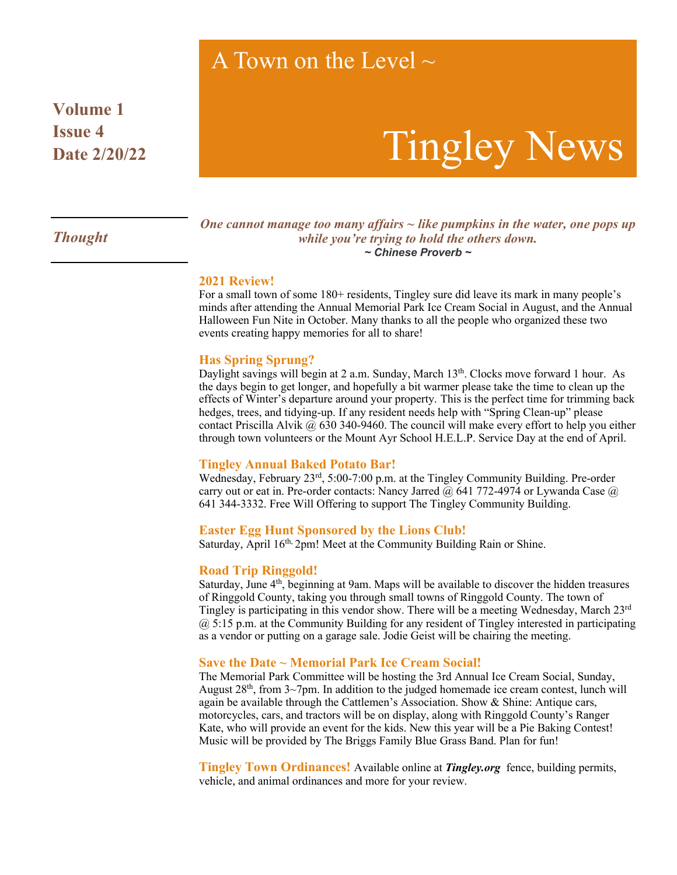## A Town on the Level  $\sim$

**Volume 1 Issue 4 Date 2/20/22**

# Tingley News

### *Thought*

*One cannot manage too many affairs ~ like pumpkins in the water, one pops up while you're trying to hold the others down. ~ Chinese Proverb ~*

#### **2021 Review!**

For a small town of some 180+ residents, Tingley sure did leave its mark in many people's minds after attending the Annual Memorial Park Ice Cream Social in August, and the Annual Halloween Fun Nite in October. Many thanks to all the people who organized these two events creating happy memories for all to share!

#### **Has Spring Sprung?**

Daylight savings will begin at 2 a.m. Sunday, March 13th. Clocks move forward 1 hour. As the days begin to get longer, and hopefully a bit warmer please take the time to clean up the effects of Winter's departure around your property. This is the perfect time for trimming back hedges, trees, and tidying-up. If any resident needs help with "Spring Clean-up" please contact Priscilla Alvik  $\omega$  630 340-9460. The council will make every effort to help you either through town volunteers or the Mount Ayr School H.E.L.P. Service Day at the end of April.

#### **Tingley Annual Baked Potato Bar!**

Wednesday, February 23rd, 5:00-7:00 p.m. at the Tingley Community Building. Pre-order carry out or eat in. Pre-order contacts: Nancy Jarred @ 641 772-4974 or Lywanda Case @ 641 344-3332. Free Will Offering to support The Tingley Community Building.

#### **Easter Egg Hunt Sponsored by the Lions Club!**

Saturday, April 16<sup>th, 2</sup>pm! Meet at the Community Building Rain or Shine.

#### **Road Trip Ringgold!**

Saturday, June 4th, beginning at 9am. Maps will be available to discover the hidden treasures of Ringgold County, taking you through small towns of Ringgold County. The town of Tingley is participating in this vendor show. There will be a meeting Wednesday, March 23rd @ 5:15 p.m. at the Community Building for any resident of Tingley interested in participating as a vendor or putting on a garage sale. Jodie Geist will be chairing the meeting.

#### **Save the Date ~ Memorial Park Ice Cream Social!**

The Memorial Park Committee will be hosting the 3rd Annual Ice Cream Social, Sunday, August  $28<sup>th</sup>$ , from  $3\sim$ 7pm. In addition to the judged homemade ice cream contest, lunch will again be available through the Cattlemen's Association. Show & Shine: Antique cars, motorcycles, cars, and tractors will be on display, along with Ringgold County's Ranger Kate, who will provide an event for the kids. New this year will be a Pie Baking Contest! Music will be provided by The Briggs Family Blue Grass Band. Plan for fun!

**Tingley Town Ordinances!** Available online at *Tingley.org* fence, building permits, vehicle, and animal ordinances and more for your review.